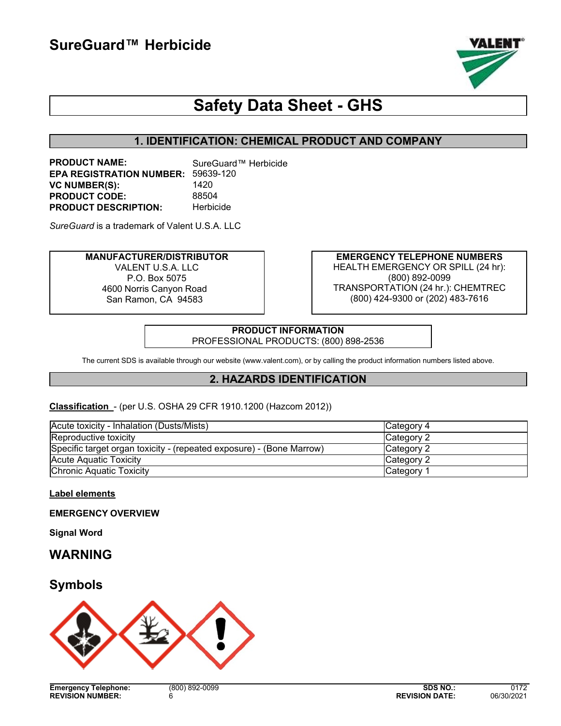

# **Safety Data Sheet - GHS**

# **1. IDENTIFICATION: CHEMICAL PRODUCT AND COMPANY**

**PRODUCT NAME:** SureGuard™ Herbicide **EPA REGISTRATION NUMBER:** 59639-120 **VC NUMBER(S):** 1420 **PRODUCT CODE:** 88504<br> **PRODUCT DESCRIPTION:** Herbicide **PRODUCT DESCRIPTION:** 

*SureGuard* is a trademark of Valent U.S.A. LLC

#### **MANUFACTURER/DISTRIBUTOR** VALENT U.S.A. LLC P.O. Box 5075 4600 Norris Canyon Road San Ramon, CA 94583

**EMERGENCY TELEPHONE NUMBERS** HEALTH EMERGENCY OR SPILL (24 hr): (800) 892-0099 TRANSPORTATION (24 hr.): CHEMTREC (800) 424-9300 or (202) 483-7616

**PRODUCT INFORMATION** PROFESSIONAL PRODUCTS: (800) 898-2536

The current SDS is available through our website (www.valent.com), or by calling the product information numbers listed above.

### **2. HAZARDS IDENTIFICATION**

**Classification** - (per U.S. OSHA 29 CFR 1910.1200 (Hazcom 2012))

| Acute toxicity - Inhalation (Dusts/Mists)                            | Category 4 |
|----------------------------------------------------------------------|------------|
| Reproductive toxicity                                                | Category 2 |
| Specific target organ toxicity - (repeated exposure) - (Bone Marrow) | Category 2 |
| <b>Acute Aquatic Toxicity</b>                                        | Category 2 |
| <b>Chronic Aquatic Toxicity</b>                                      | Category 1 |

**Label elements**

**EMERGENCY OVERVIEW**

**Signal Word**

**WARNING**

# **Symbols**

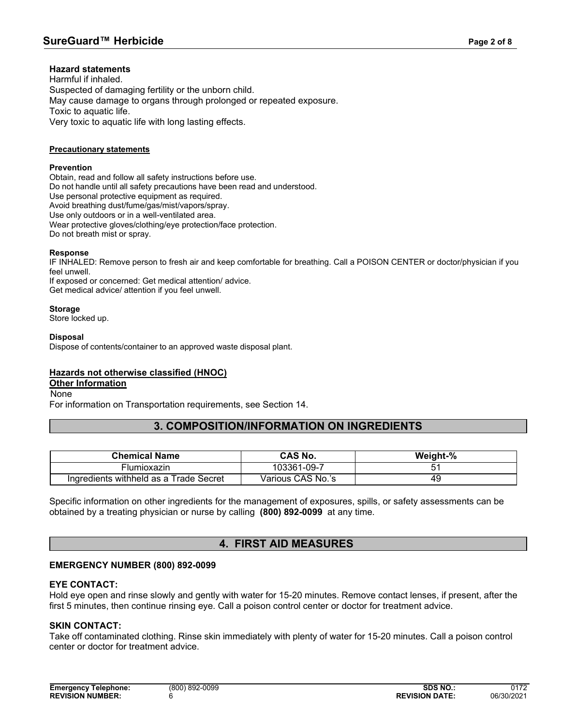### **Hazard statements**

Harmful if inhaled. Suspected of damaging fertility or the unborn child. May cause damage to organs through prolonged or repeated exposure. Toxic to aquatic life. Very toxic to aquatic life with long lasting effects.

#### **Precautionary statements**

#### **Prevention**

Obtain, read and follow all safety instructions before use. Do not handle until all safety precautions have been read and understood. Use personal protective equipment as required. Avoid breathing dust/fume/gas/mist/vapors/spray. Use only outdoors or in a well-ventilated area. Wear protective gloves/clothing/eye protection/face protection. Do not breath mist or spray.

#### **Response**

IF INHALED: Remove person to fresh air and keep comfortable for breathing. Call a POISON CENTER or doctor/physician if you feel unwell.

If exposed or concerned: Get medical attention/ advice. Get medical advice/ attention if you feel unwell.

#### **Storage**

Store locked up.

#### **Disposal**

Dispose of contents/container to an approved waste disposal plant.

### **Hazards not otherwise classified (HNOC)**

### **Other Information**

None

For information on Transportation requirements, see Section 14.

### **3. COMPOSITION/INFORMATION ON INGREDIENTS**

| <b>Chemical Name</b>                   | CAS No.           | Weight-% |
|----------------------------------------|-------------------|----------|
| <b>Flumioxazin</b>                     | 103361-09-7       |          |
| Ingredients withheld as a Trade Secret | Various CAS No.'s | 49       |

Specific information on other ingredients for the management of exposures, spills, or safety assessments can be obtained by a treating physician or nurse by calling **(800) 892-0099** at any time.

### **4. FIRST AID MEASURES**

### **EMERGENCY NUMBER (800) 892-0099**

### **EYE CONTACT:**

Hold eye open and rinse slowly and gently with water for 15-20 minutes. Remove contact lenses, if present, after the first 5 minutes, then continue rinsing eye. Call a poison control center or doctor for treatment advice.

### **SKIN CONTACT:**

Take off contaminated clothing. Rinse skin immediately with plenty of water for 15-20 minutes. Call a poison control center or doctor for treatment advice.

| Emergency<br><b>Telephone:</b> | (800) 892-0099 | <b>SDS NO.:</b>       | 0172       |
|--------------------------------|----------------|-----------------------|------------|
| <b>REVISION NUMBER:</b>        |                | <b>REVISION DATE:</b> | 06/30/2021 |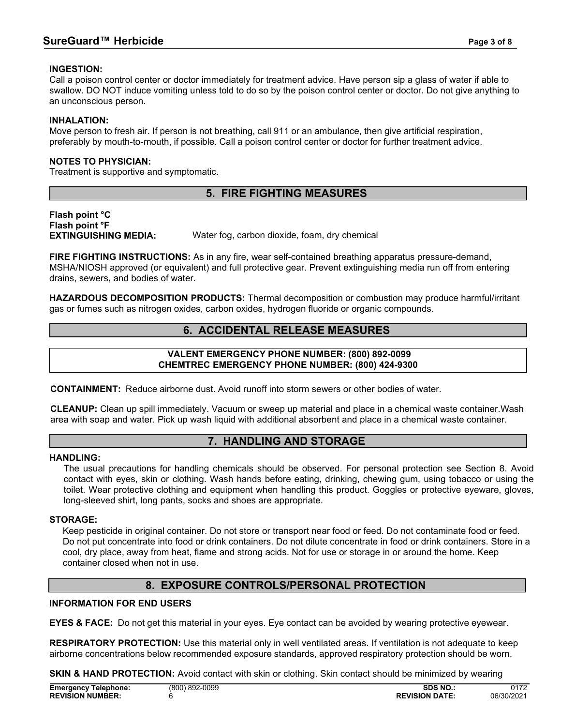### **INGESTION:**

Call a poison control center or doctor immediately for treatment advice. Have person sip a glass of water if able to swallow. DO NOT induce vomiting unless told to do so by the poison control center or doctor. Do not give anything to an unconscious person.

### **INHALATION:**

Move person to fresh air. If person is not breathing, call 911 or an ambulance, then give artificial respiration, preferably by mouth-to-mouth, if possible. Call a poison control center or doctor for further treatment advice.

### **NOTES TO PHYSICIAN:**

Treatment is supportive and symptomatic.

# **5. FIRE FIGHTING MEASURES**

**Flash point °C Flash point °F**

Water fog, carbon dioxide, foam, dry chemical

**FIRE FIGHTING INSTRUCTIONS:** As in any fire, wear self-contained breathing apparatus pressure-demand, MSHA/NIOSH approved (or equivalent) and full protective gear. Prevent extinguishing media run off from entering drains, sewers, and bodies of water.

**HAZARDOUS DECOMPOSITION PRODUCTS:** Thermal decomposition or combustion may produce harmful/irritant gas or fumes such as nitrogen oxides, carbon oxides, hydrogen fluoride or organic compounds.

### **6. ACCIDENTAL RELEASE MEASURES**

### **VALENT EMERGENCY PHONE NUMBER: (800) 892-0099 CHEMTREC EMERGENCY PHONE NUMBER: (800) 424-9300**

**CONTAINMENT:** Reduce airborne dust. Avoid runoff into storm sewers or other bodies of water.

**CLEANUP:** Clean up spill immediately. Vacuum or sweep up material and place in a chemical waste container.Wash area with soap and water. Pick up wash liquid with additional absorbent and place in a chemical waste container.

### **7. HANDLING AND STORAGE**

### **HANDLING:**

The usual precautions for handling chemicals should be observed. For personal protection see Section 8. Avoid contact with eyes, skin or clothing. Wash hands before eating, drinking, chewing gum, using tobacco or using the toilet. Wear protective clothing and equipment when handling this product. Goggles or protective eyeware, gloves, long-sleeved shirt, long pants, socks and shoes are appropriate.

### **STORAGE:**

Keep pesticide in original container. Do not store or transport near food or feed. Do not contaminate food or feed. Do not put concentrate into food or drink containers. Do not dilute concentrate in food or drink containers. Store in a cool, dry place, away from heat, flame and strong acids. Not for use or storage in or around the home. Keep container closed when not in use.

### **8. EXPOSURE CONTROLS/PERSONAL PROTECTION**

### **INFORMATION FOR END USERS**

**EYES & FACE:** Do not get this material in your eyes. Eye contact can be avoided by wearing protective eyewear.

**RESPIRATORY PROTECTION:** Use this material only in well ventilated areas. If ventilation is not adequate to keep airborne concentrations below recommended exposure standards, approved respiratory protection should be worn.

**SKIN & HAND PROTECTION:** Avoid contact with skin or clothing. Skin contact should be minimized by wearing

| <b>Emergency Telephone:</b> | $(800)$ 892-0099 | SDS NO                | 0172       |
|-----------------------------|------------------|-----------------------|------------|
| <b>REVISION NUMBER:</b>     |                  | <b>REVISION DATE:</b> | 06/30/2021 |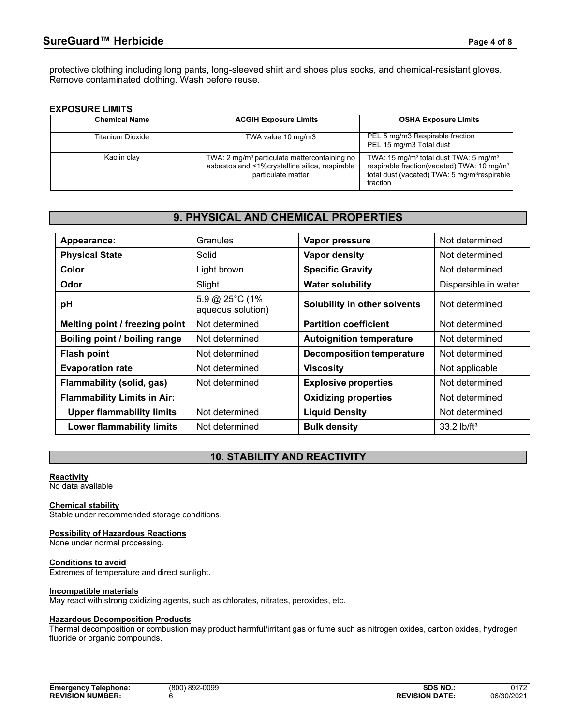protective clothing including long pants, long-sleeved shirt and shoes plus socks, and chemical-resistant gloves. Remove contaminated clothing. Wash before reuse.

### **EXPOSURE LIMITS**

| <b>Chemical Name</b> | <b>ACGIH Exposure Limits</b>                                                                                                     | <b>OSHA Exposure Limits</b>                                                                                                                                                                     |
|----------------------|----------------------------------------------------------------------------------------------------------------------------------|-------------------------------------------------------------------------------------------------------------------------------------------------------------------------------------------------|
| Titanium Dioxide     | TWA value 10 mg/m3                                                                                                               | PEL 5 mg/m3 Respirable fraction<br>PEL 15 mg/m3 Total dust                                                                                                                                      |
| Kaolin clay          | TWA: 2 mg/m <sup>3</sup> particulate mattercontaining no<br>asbestos and <1%crystalline silica, respirable<br>particulate matter | TWA: 15 mg/m <sup>3</sup> total dust TWA: 5 mg/m <sup>3</sup><br>respirable fraction(vacated) TWA: 10 mg/m <sup>3</sup><br>total dust (vacated) TWA: 5 mg/m <sup>3</sup> respirable<br>fraction |

### **9. PHYSICAL AND CHEMICAL PROPERTIES**

| Appearance:                        | Granules                            | Vapor pressure                   | Not determined            |
|------------------------------------|-------------------------------------|----------------------------------|---------------------------|
| <b>Physical State</b>              | Solid                               | Vapor density                    | Not determined            |
| Color                              | Light brown                         | <b>Specific Gravity</b>          | Not determined            |
| Odor                               | Slight                              | <b>Water solubility</b>          | Dispersible in water      |
| pH                                 | 5.9 @ 25°C (1%<br>aqueous solution) | Solubility in other solvents     | Not determined            |
| Melting point / freezing point     | Not determined                      | <b>Partition coefficient</b>     | Not determined            |
| Boiling point / boiling range      | Not determined                      | <b>Autoignition temperature</b>  | Not determined            |
| <b>Flash point</b>                 | Not determined                      | <b>Decomposition temperature</b> | Not determined            |
| <b>Evaporation rate</b>            | Not determined                      | <b>Viscosity</b>                 | Not applicable            |
| <b>Flammability (solid, gas)</b>   | Not determined                      | <b>Explosive properties</b>      | Not determined            |
| <b>Flammability Limits in Air:</b> |                                     | <b>Oxidizing properties</b>      | Not determined            |
| <b>Upper flammability limits</b>   | Not determined                      | <b>Liquid Density</b>            | Not determined            |
| <b>Lower flammability limits</b>   | Not determined                      | <b>Bulk density</b>              | $33.2$ lb/ft <sup>3</sup> |

### **10. STABILITY AND REACTIVITY**

### **Reactivity**

No data available

#### **Chemical stability**

Stable under recommended storage conditions.

#### **Possibility of Hazardous Reactions**

None under normal processing.

#### **Conditions to avoid** Extremes of temperature and direct sunlight.

### **Incompatible materials**

May react with strong oxidizing agents, such as chlorates, nitrates, peroxides, etc.

#### **Hazardous Decomposition Products**

Thermal decomposition or combustion may product harmful/irritant gas or fume such as nitrogen oxides, carbon oxides, hydrogen fluoride or organic compounds.

| Emergency<br><b>Telephone:</b> | (800) 892-0099 | <b>SDS NO.:</b>       | 0172       |
|--------------------------------|----------------|-----------------------|------------|
| <b>REVISION NUMBER:</b>        |                | <b>REVISION DATE:</b> | 06/30/2021 |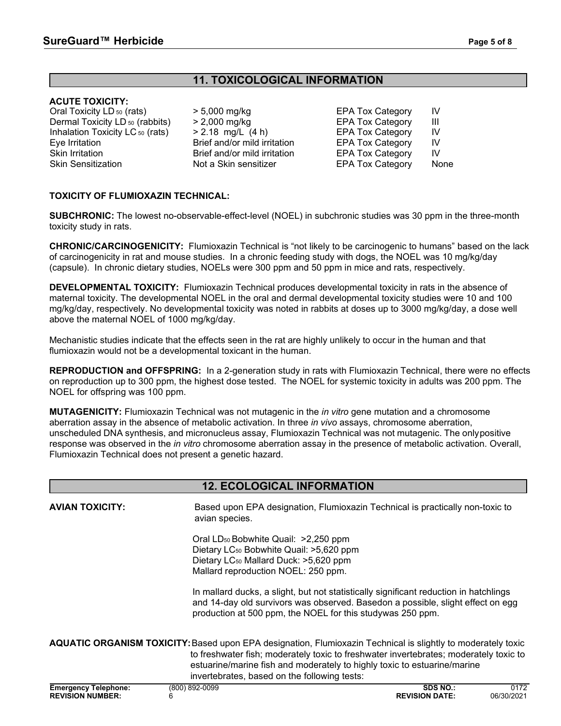# **11. TOXICOLOGICAL INFORMATION**

### **ACUTE TOXICITY:**

Oral Toxicity LD <sub>50</sub> (rats)  $\rightarrow$  5,000 mg/kg EPA Tox Category IV<br>Dermal Toxicity LD <sub>50</sub> (rabbits) > 2,000 mg/kg EPA Tox Category III Dermal Toxicity LD <sub>50</sub> (rabbits)  $\rightarrow$  2,000 mg/kg  $\rightarrow$  EPA Tox Category III<br>Inhalation Toxicity LC <sub>50</sub> (rats)  $\rightarrow$  2.18 mg/L (4 h) EPA Tox Category IV Inhalation Toxicity LC <sub>50</sub> (rats)  $\longrightarrow$  2.18 mg/L (4 h) EPA Tox Category IV<br>Eve Irritation Brief and/or mild irritation EPA Tox Category IV Skin Irritation Brief and/or mild irritation EPA Tox Category IV

Brief and/or mild irritation EPA Tox Category

Not a Skin sensitizer EPA Tox Category None

### **TOXICITY OF FLUMIOXAZIN TECHNICAL:**

**SUBCHRONIC:** The lowest no-observable-effect-level (NOEL) in subchronic studies was 30 ppm in the three-month toxicity study in rats.

**CHRONIC/CARCINOGENICITY:** Flumioxazin Technical is "not likely to be carcinogenic to humans" based on the lack of carcinogenicity in rat and mouse studies. In a chronic feeding study with dogs, the NOEL was 10 mg/kg/day (capsule). In chronic dietary studies, NOELs were 300 ppm and 50 ppm in mice and rats, respectively.

**DEVELOPMENTAL TOXICITY:** Flumioxazin Technical produces developmental toxicity in rats in the absence of maternal toxicity. The developmental NOEL in the oral and dermal developmental toxicity studies were 10 and 100 mg/kg/day, respectively. No developmental toxicity was noted in rabbits at doses up to 3000 mg/kg/day, a dose well above the maternal NOEL of 1000 mg/kg/day.

Mechanistic studies indicate that the effects seen in the rat are highly unlikely to occur in the human and that flumioxazin would not be a developmental toxicant in the human.

**REPRODUCTION and OFFSPRING:** In a 2-generation study in rats with Flumioxazin Technical, there were no effects on reproduction up to 300 ppm, the highest dose tested. The NOEL for systemic toxicity in adults was 200 ppm. The NOEL for offspring was 100 ppm.

**MUTAGENICITY:** Flumioxazin Technical was not mutagenic in the *in vitro* gene mutation and a chromosome aberration assay in the absence of metabolic activation. In three *in vivo* assays, chromosome aberration, unscheduled DNA synthesis, and micronucleus assay, Flumioxazin Technical was not mutagenic. The only positive response was observed in the *in vitro* chromosome aberration assay in the presence of metabolic activation. Overall, Flumioxazin Technical does not present a genetic hazard.

# **12. ECOLOGICAL INFORMATION**

| <b>AVIAN TOXICITY:</b>                                      | avian species.                                                                                                                                                                                                                                                                                                                    | Based upon EPA designation, Flumioxazin Technical is practically non-toxic to |                    |  |
|-------------------------------------------------------------|-----------------------------------------------------------------------------------------------------------------------------------------------------------------------------------------------------------------------------------------------------------------------------------------------------------------------------------|-------------------------------------------------------------------------------|--------------------|--|
|                                                             | Oral LD <sub>50</sub> Bobwhite Quail: >2,250 ppm<br>Dietary LC <sub>50</sub> Bobwhite Quail: >5,620 ppm<br>Dietary LC <sub>50</sub> Mallard Duck: >5,620 ppm<br>Mallard reproduction NOEL: 250 ppm.                                                                                                                               |                                                                               |                    |  |
|                                                             | In mallard ducks, a slight, but not statistically significant reduction in hatchlings<br>and 14-day old survivors was observed. Basedon a possible, slight effect on egg<br>production at 500 ppm, the NOEL for this studywas 250 ppm.                                                                                            |                                                                               |                    |  |
|                                                             | AQUATIC ORGANISM TOXICITY: Based upon EPA designation, Flumioxazin Technical is slightly to moderately toxic<br>to freshwater fish; moderately toxic to freshwater invertebrates; moderately toxic to<br>estuarine/marine fish and moderately to highly toxic to estuarine/marine<br>invertebrates, based on the following tests: |                                                                               |                    |  |
| <b>Emergency Telephone:</b><br><b>REVISION NUMBER:</b><br>6 | (800) 892-0099                                                                                                                                                                                                                                                                                                                    | <b>SDS NO.:</b><br><b>REVISION DATE:</b>                                      | 0172<br>06/30/2021 |  |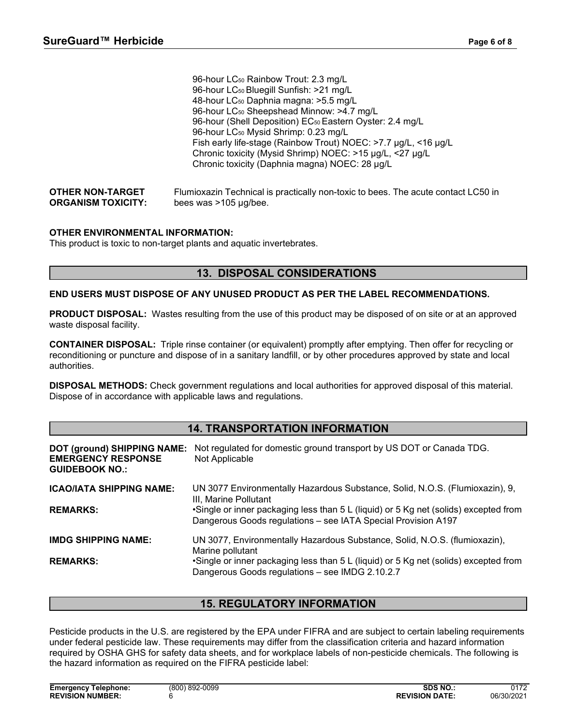|                                                      | 96-hour LC <sub>50</sub> Rainbow Trout: 2.3 mg/L                                                           |
|------------------------------------------------------|------------------------------------------------------------------------------------------------------------|
|                                                      | 96-hour LC <sub>50</sub> Bluegill Sunfish: >21 mg/L                                                        |
|                                                      | 48-hour LC <sub>50</sub> Daphnia magna: >5.5 mg/L                                                          |
|                                                      | 96-hour LC <sub>50</sub> Sheepshead Minnow: >4.7 mg/L                                                      |
|                                                      | 96-hour (Shell Deposition) EC <sub>50</sub> Eastern Oyster: 2.4 mg/L                                       |
|                                                      | 96-hour LC <sub>50</sub> Mysid Shrimp: 0.23 mg/L                                                           |
|                                                      | Fish early life-stage (Rainbow Trout) NOEC: >7.7 µg/L, <16 µg/L                                            |
|                                                      | Chronic toxicity (Mysid Shrimp) NOEC: >15 µg/L, <27 µg/L                                                   |
|                                                      | Chronic toxicity (Daphnia magna) NOEC: 28 µg/L                                                             |
| <b>OTHER NON-TARGET</b><br><b>ORGANISM TOXICITY:</b> | Flumioxazin Technical is practically non-toxic to bees. The acute contact LC50 in<br>bees was >105 µg/bee. |

### **OTHER ENVIRONMENTAL INFORMATION:**

This product is toxic to non-target plants and aquatic invertebrates.

### **13. DISPOSAL CONSIDERATIONS**

### **END USERS MUST DISPOSE OF ANY UNUSED PRODUCT AS PER THE LABEL RECOMMENDATIONS.**

**PRODUCT DISPOSAL:** Wastes resulting from the use of this product may be disposed of on site or at an approved waste disposal facility.

**CONTAINER DISPOSAL:** Triple rinse container (or equivalent) promptly after emptying. Then offer for recycling or reconditioning or puncture and dispose of in a sanitary landfill, or by other procedures approved by state and local authorities.

**DISPOSAL METHODS:** Check government regulations and local authorities for approved disposal of this material. Dispose of in accordance with applicable laws and regulations.

### **14. TRANSPORTATION INFORMATION**

| DOT (ground) SHIPPING NAME:<br><b>EMERGENCY RESPONSE</b><br><b>GUIDEBOOK NO.:</b> | Not regulated for domestic ground transport by US DOT or Canada TDG.<br>Not Applicable                                                                |
|-----------------------------------------------------------------------------------|-------------------------------------------------------------------------------------------------------------------------------------------------------|
| <b>ICAO/IATA SHIPPING NAME:</b>                                                   | UN 3077 Environmentally Hazardous Substance, Solid, N.O.S. (Flumioxazin), 9,<br>III, Marine Pollutant                                                 |
| <b>REMARKS:</b>                                                                   | •Single or inner packaging less than 5 L (liquid) or 5 Kg net (solids) excepted from<br>Dangerous Goods regulations - see IATA Special Provision A197 |
| <b>IMDG SHIPPING NAME:</b>                                                        | UN 3077, Environmentally Hazardous Substance, Solid, N.O.S. (flumioxazin),<br>Marine pollutant                                                        |
| <b>REMARKS:</b>                                                                   | •Single or inner packaging less than 5 L (liquid) or 5 Kg net (solids) excepted from<br>Dangerous Goods regulations - see IMDG 2.10.2.7               |

# **15. REGULATORY INFORMATION**

Pesticide products in the U.S. are registered by the EPA under FIFRA and are subject to certain labeling requirements under federal pesticide law. These requirements may differ from the classification criteria and hazard information required by OSHA GHS for safety data sheets, and for workplace labels of non-pesticide chemicals. The following is the hazard information as required on the FIFRA pesticide label: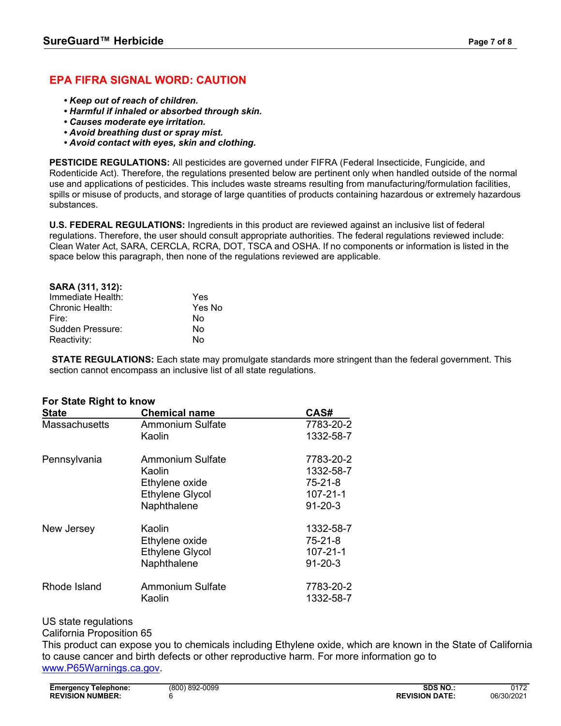# **EPA FIFRA SIGNAL WORD: CAUTION**

- *• Keep out of reach of children.*
- *• Harmful if inhaled or absorbed through skin.*
- *• Causes moderate eye irritation.*
- *• Avoid breathing dust or spray mist.*
- *• Avoid contact with eyes, skin and clothing.*

**PESTICIDE REGULATIONS:** All pesticides are governed under FIFRA (Federal Insecticide, Fungicide, and Rodenticide Act). Therefore, the regulations presented below are pertinent only when handled outside of the normal use and applications of pesticides. This includes waste streams resulting from manufacturing/formulation facilities, spills or misuse of products, and storage of large quantities of products containing hazardous or extremely hazardous substances.

**U.S. FEDERAL REGULATIONS:** Ingredients in this product are reviewed against an inclusive list of federal regulations. Therefore, the user should consult appropriate authorities. The federal regulations reviewed include: Clean Water Act, SARA, CERCLA, RCRA, DOT, TSCA and OSHA. If no components or information is listed in the space below this paragraph, then none of the regulations reviewed are applicable.

| SARA (311, 312):  |        |
|-------------------|--------|
| Immediate Health: | Yes    |
| Chronic Health:   | Yes No |
| Fire:             | N٥     |
| Sudden Pressure:  | No     |
| Reactivity:       | N٥     |

**STATE REGULATIONS:** Each state may promulgate standards more stringent than the federal government. This section cannot encompass an inclusive list of all state regulations.

| <b>State</b>         | <b>Chemical name</b>    | CAS#           |
|----------------------|-------------------------|----------------|
| <b>Massachusetts</b> | <b>Ammonium Sulfate</b> | 7783-20-2      |
|                      | Kaolin                  | 1332-58-7      |
| Pennsylvania         | Ammonium Sulfate        | 7783-20-2      |
|                      | Kaolin                  | 1332-58-7      |
|                      | Ethylene oxide          | $75 - 21 - 8$  |
|                      | <b>Ethylene Glycol</b>  | $107 - 21 - 1$ |
|                      | Naphthalene             | $91 - 20 - 3$  |
| New Jersey           | Kaolin                  | 1332-58-7      |
|                      | Ethylene oxide          | $75 - 21 - 8$  |
|                      | <b>Ethylene Glycol</b>  | $107 - 21 - 1$ |
|                      | Naphthalene             | $91 - 20 - 3$  |
| Rhode Island         | <b>Ammonium Sulfate</b> | 7783-20-2      |
|                      | Kaolin                  | 1332-58-7      |

### **For State Right to know**

US state regulations

California Proposition 65

This product can expose you to chemicals including Ethylene oxide, which are known in the State of California to cause cancer and birth defects or other reproductive harm. For more information go to [www.P65Warnings.ca.gov.](http://www.p65warnings.ca.gov/)

| Telephone:<br>Emergency | (800) 892-0099 | SDS NO                | 0172       |
|-------------------------|----------------|-----------------------|------------|
| <b>REVISION NUMBER:</b> |                | <b>REVISION DATE:</b> | 06/30/2021 |